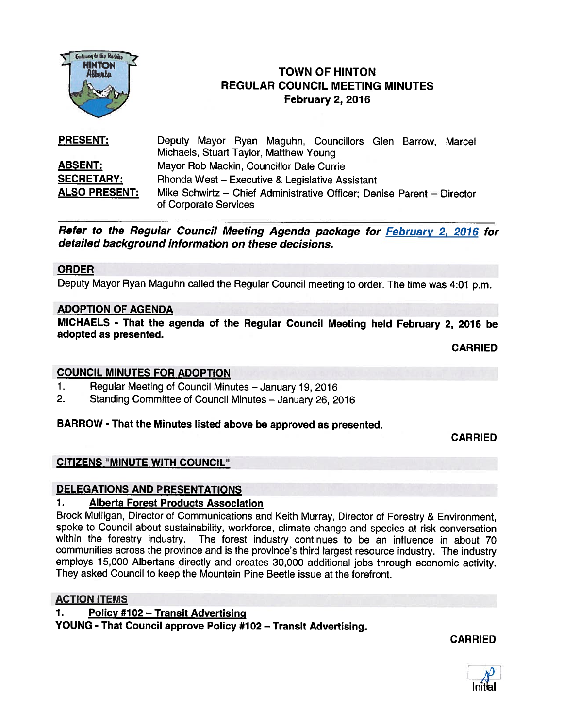

# **1NTON**<br>Afteria **COWN OF HINTON** REGULAR COUNCIL MEETING MINUTES February 2, 2016

| <b>PRESENT:</b>      | Deputy Mayor Ryan Maguhn, Councillors Glen Barrow, Marcel                                       |
|----------------------|-------------------------------------------------------------------------------------------------|
|                      | Michaels, Stuart Taylor, Matthew Young                                                          |
| <b>ABSENT:</b>       | Mayor Rob Mackin, Councillor Dale Currie                                                        |
| <b>SECRETARY:</b>    | Rhonda West - Executive & Legislative Assistant                                                 |
| <b>ALSO PRESENT:</b> | Mike Schwirtz - Chief Administrative Officer; Denise Parent - Director<br>of Corporate Services |

Refer to the Regular Council Meeting Agenda package for February 2, 2016 for detailed background information on these decisions.

#### ORDER

Deputy Mayor Ryan Maguhn called the Regular Council meeting to order. The time was 4:01 p.m.

#### ADOPTION OF AGENDA

MICHAELS - That the agenda of the Regular Council Meeting held February 2, <sup>2016</sup> be adopted as presented.

CARRIED

#### COUNCIL MINUTES FOR ADOPTION

- 1. Regular Meeting of Council Minutes January 19, <sup>2016</sup>
- 2. Standing Committee of Council Minutes January 26, 2016

#### BARROW - That the Minutes listed above be approved as presented.

CARRIED

# CITIZENS "MINUTE WITH COUNCIL"

#### DELEGATIONS AND PRESENTATIONS

#### 1. Alberta Forest Products Association

Brock Mulligan, Director of Communications and Keith Murray, Director of Forestry & Environment, spoke to Council about sustainability, workforce, climate change and species at risk conversation<br>within the forestry industry. The forest industry continues to be an influence in about 70 The forest industry continues to be an influence in about 70 communities across the province and is the province's third largest resource industry. The industry employs 15,000 Albertans directly and creates 30,000 additional jobs through economic activity. They asked Council to keep the Mountain Pine Beetle issue at the forefront.

#### ACTION ITEMS

1. Policy #102 – Transit Advertising

YOUNG - That Council approve Policy #102 — Transit Advertising.

CARRIED